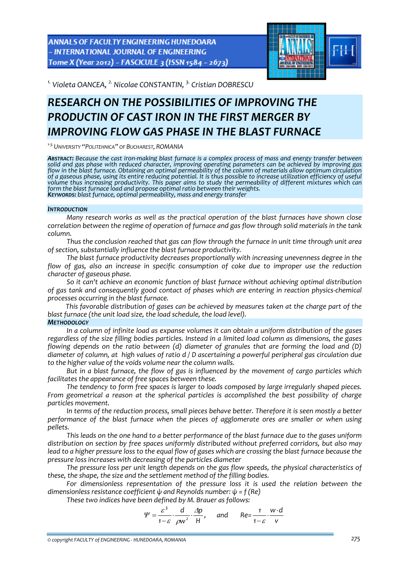**ANNALS OF FACULTY ENGINEERING HUNEDOARA** - INTERNATIONAL JOURNAL OF ENGINEERING Tome X (Year 2012) - FASCICULE 3 (ISSN 1584 - 2673)



*1. Violeta OANCEA, 2. Nicolae CONSTANTIN, 3. Cristian DOBRESCU* 

# *RESEARCH ON THE POSSIBILITIES OF IMPROVING THE PRODUCTIN OF CAST IRON IN THE FIRST MERGER BY IMPROVING FLOW GAS PHASE IN THE BLAST FURNACE*

*<sup>1</sup>‐3.UNIVERSITY "POLITEHNICA" OF BUCHAREST, ROMANIA*

ABSTRACT: Because the cast iron-making blast furnace is a complex process of mass and energy transfer between solid and gas phase with reduced character, improving operating parameters can be achieved by improving gas<br>flow in the blast furnace. Obtaining an optimal permeability of the column of materials allow optimum circulation of a gaseous phase, using its entire reducing potential. It is thus possible to increase utilization efficiency of useful<br>volume thus increasing productivity. This paper aims to study the permeability of different mixtures form the blast furnace load and propose optimal ratio between their weights.<br>KEYWORDS: blast furnace, optimal permeability, mass and energy transfer

## *INTRODUCTION*

*Many research works as well as the practical operation of the blast furnaces have shown close correlation between the regime of operation of furnace and gas flow through solid materials in the tank column.*

*Thus the conclusion reached that gas can flow through the furnace in unit time through unit area of section, substantially influence the blast furnace productivity.*

*The blast furnace productivity decreases proportionally with increasing unevenness degree in the flow of gas, also an increase in specific consumption of coke due to improper use the reduction character of gaseous phase.* 

*So it can't achieve an economic function of blast furnace without achieving optimal distribution of gas tank and consequently good contact of phases which are entering in reaction physics‐chemical processes occurring in the blast furnace.*

*This favorable distribution of gases can be achieved by measures taken at the charge part of the blast furnace (the unit load size, the load schedule, the load level).*

# *METHODOLOGY*

*In a column of infinite load as expanse volumes it can obtain a uniform distribution of the gases* regardless of the size filling bodies particles. Instead in a limited load column as dimensions, the gases *flowing depends on the ratio between (d) diameter of granules that are forming the load and (D)* diameter of column, at high values of ratio d / D ascertaining a powerful peripheral gas circulation due *to the higher value of the voids volume near the column walls.*

*But in a blast furnace, the flow of gas is influenced by the movement of cargo particles which facilitates the appearance of free spaces between these.*

*The tendency to form free spaces is larger to loads composed by large irregularly shaped pieces. From geometrical a reason at the spherical particles is accomplished the best possibility of charge particles movement.*

*In terms of the reduction process, small pieces behave better. Therefore it is seen mostly a better performance of the blast furnace when the pieces of agglomerate ores are smaller or when using pellets.*

This leads on the one hand to a better performance of the blast furnace due to the gases uniform *distribution on section by free spaces uniformly distributed without preferred corridors, but also may* lead to a higher pressure loss to the equal flow of gases which are crossing the blast furnace because the *pressure loss increases with decreasing of the particles diameter* 

*The pressure loss per unit length depends on the gas flow speeds, the physical characteristics of these, the shape, the size and the settlement method of the filling bodies.*

*For dimensionless representation of the pressure loss it is used the relation between the dimensionless resistance coefficient ψ and Reynolds number: ψ = f (Re)*

*These two indices have been defined by M. Brauer as follows:*

$$
\Psi = \frac{\varepsilon^3}{1-\varepsilon} \cdot \frac{d}{\rho w^2} \cdot \frac{\Delta p}{H}, \quad \text{and} \quad \text{Re} = \frac{1}{1-\varepsilon} \cdot \frac{w \cdot d}{v}
$$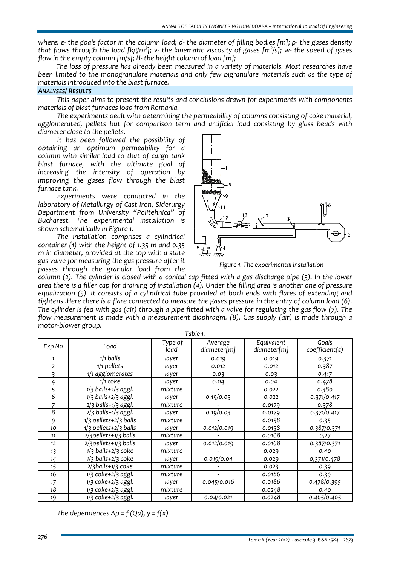where:  $\varepsilon$ - the goals factor in the column load; d- the diameter of filling bodies [m];  $\rho$ - the gases density that flows through the load [kg/m<sup>3</sup>]; v- the kinematic viscosity of gases [m<sup>2</sup>/s]; w- the speed of gases *flow in the empty column [m/s]; H‐ the height column of load [m];*

*The loss of pressure has already been measured in a variety of materials. Most researches have been limited to the monogranulare materials and only few bigranulare materials such as the type of materials introduced into the blast furnace.*

## *ANALYSES/ RESULTS*

*This paper aims to present the results and conclusions drawn for experiments with components materials of blast furnaces load from Romania.*

*The experiments dealt with determining the permeability of columns consisting of coke material, agglomerated, pellets but for comparison term and artificial load consisting by glass beads with diameter close to the pellets.*

*It has been followed the possibility of obtaining an optimum permeability for a column with similar load to that of cargo tank blast furnace, with the ultimate goal of increasing the intensity of operation by improving the gases flow through the blast furnace tank.*

*Experiments were conducted in the laboratory of Metallurgy of Cast Iron, Siderurgy Department from University "Politehnica" of Bucharest. The experimental installation is shown schematically in Figure 1.*

*The installation comprises a cylindrical container (1) with the height of 1.35 m and 0.35 m in diameter, provided at the top with a state gas valve for measuring the gas pressure after it passes through the granular load from the*



*Figure 1. The experimental installation* 

 $\alpha$  column (2). The cylinder is closed with a conical cap fitted with a gas discharge pipe (3). In the lower area there is a filler cap for draining of installation  $(4)$ . Under the filling area is another one of pressure *equalization (5). It consists of a cylindrical tube provided at both ends with flares of extending and* tightens. Here there is a flare connected to measure the gases pressure in the entry of column load (6). The cylinder is fed with gas (air) through a pipe fitted with a valve for regulating the gas flow  $(7)$ . The *flow measurement is made with a measurement diaphragm. (8). Gas supply (air) is made through a motor‐blower group. Table 1.*

|                |                          |                 | Table 1.     | Equivalent<br>Average<br>diameter[m]<br>diameter[m]<br>0.019<br>0.019<br>0.012<br>0.012 |                                     |  |
|----------------|--------------------------|-----------------|--------------|-----------------------------------------------------------------------------------------|-------------------------------------|--|
| Exp No         | Load                     | Type of<br>load |              |                                                                                         | Goals<br>$coefficient(\varepsilon)$ |  |
| 1              | $1/1$ balls              | layer           |              |                                                                                         | 0.371                               |  |
| $\overline{2}$ | $1/1$ pellets            | layer           |              |                                                                                         | 0.387                               |  |
| $\overline{3}$ | 1/1 agglomerates         | layer           | 0.03         | 0.03                                                                                    | 0.417                               |  |
| 4              | $1/1$ coke               | layer           | 0.04         | 0.04                                                                                    | 0.478                               |  |
| 5              | $1/3$ balls+2/3 aggl.    | mixture         |              | 0.022                                                                                   | 0.380                               |  |
| 6              | $1/3$ balls+2/3 aggl.    | layer           | 0.19/0.03    | 0.022                                                                                   | 0.371/0.417                         |  |
|                | $2/3$ balls+ $1/3$ aggl. | mixture         |              | 0.0179                                                                                  | 0.378                               |  |
| 8              | $2/3$ balls+ $1/3$ aggl. | layer           | 0.19/0.03    | 0.0179                                                                                  | 0.371/0.417                         |  |
| q              | $1/3$ pellets+2/3 balls  | mixture         |              | 0.0158                                                                                  | 0.35                                |  |
| 10             | $1/3$ pellets+2/3 balls  | layer           | 0.012/0.019  | 0.0158                                                                                  | 0.387/0.371                         |  |
| 11             | 2/3pellets+1/3 balls     | mixture         |              | 0.0168                                                                                  | 0,27                                |  |
| 12             | 2/3pellets+1/3 balls     | layer           | 0.012/0.019  | 0.0168                                                                                  | 0.387/0.371                         |  |
| 13             | $1/3$ balls+2/3 coke     | mixture         |              | 0.029                                                                                   | 0.40                                |  |
| 14             | $1/3$ balls+2/3 coke     | laver           | 0.019/0.04   | 0.029                                                                                   | 0,371/0.478                         |  |
| 15             | $2/3$ balls+1/3 coke     | mixture         |              | 0.023                                                                                   | 0.39                                |  |
| 16             | $1/3$ coke+ $2/3$ aggl.  | mixture         |              | 0.0186                                                                                  | 0.39                                |  |
| 17             | $1/3$ coke+ $2/3$ aggl.  | layer           | 0.045/0.016  | 0.0186                                                                                  | 0.478/0.395                         |  |
| 18             | $1/3$ coke+ $2/3$ aggl.  | mixture         |              | 0.0248                                                                                  | 0.40                                |  |
| 19             | 1/3 coke+2/3 aggl.       | layer           | 0.04 / 0.021 | 0.0248                                                                                  | 0.465/0.405                         |  |

*The dependences Δp = f (Qa), y = f(x)*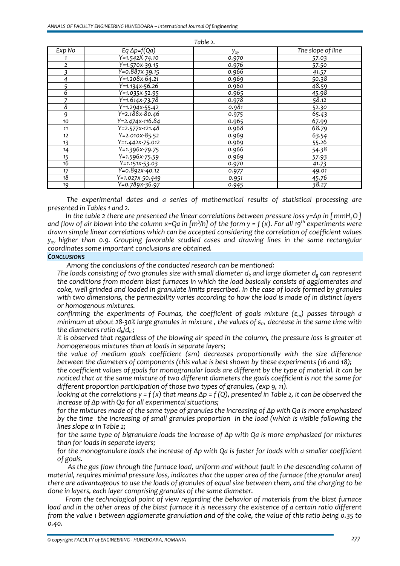| Table 2.        |                             |          |                   |  |  |  |
|-----------------|-----------------------------|----------|-------------------|--|--|--|
| Exp No          | Eq $\Delta p = f(Qa)$       | $y_{xy}$ | The slope of line |  |  |  |
|                 | $Y=1.542X-74.10$            | 0.970    | 57.03             |  |  |  |
| $\overline{2}$  | Y=1.570x-39.15              | 0.976    | 57.50             |  |  |  |
| 3               | $Y=0.887x-39.15$            | 0.966    | 41.57             |  |  |  |
| 4               | $Y = 1.208x - 64.21$        | 0.969    | 50.38             |  |  |  |
| 5               | $Y = 1.134X - 56.26$        | 0.960    | 48.59             |  |  |  |
| $\overline{6}$  | $\overline{Y=1.035x-52.95}$ | 0.965    | 45.98             |  |  |  |
| 7               | $\overline{Y=1.614x-73.78}$ | 0.978    | 58.12             |  |  |  |
| 8               | $\overline{Y=1.294x-55.42}$ | 0.981    | 52.30             |  |  |  |
| 9               | $Y = 2.188x - 80.46$        | 0.975    | 65.43             |  |  |  |
| 10              | $Y = 2.474X - 116.84$       | 0.965    | 67.99             |  |  |  |
| 11              | $Y = 2.577X - 121.48$       | 0.968    | 68.79             |  |  |  |
| 12              | $Y=2.010X-85.52$            | 0.969    | 63.54             |  |  |  |
| 13              | Y=1.442x-75.012             | 0.969    | 55.26             |  |  |  |
| 14              | $Y=1.396x-79.75$            | 0.966    | 54.38             |  |  |  |
| 15              | $\sqrt{Y}$ =1.596x-75.59    | 0.969    | 57.93             |  |  |  |
| $\overline{16}$ | Y=1.151x-53.03              | 0.970    | 41.73             |  |  |  |
| 17              | $\overline{Y=0.892x-40.12}$ | 0.977    | 49.01             |  |  |  |
| 18              | Y=1.027x-50.449             | 0.951    | 45.76             |  |  |  |
| 19              | $\overline{Y=0.789x-36.97}$ | 0.945    | 38.27             |  |  |  |

*The experimental dates and a series of mathematical results of statistical processing are presented in Tables 1 and 2.* 

In the table 2 there are presented the linear correlations between pressure loss  $y = \Delta p$  in [mmH, O] and flow of air blown into the column x=Qa in [m<sup>3</sup>/h] of the form y = f (x). For all 19<sup>th</sup> experiments were *drawn simple linear correlations which can be accepted considering the correlation of coefficient values yxy higher than 0.9. Grouping favorable studied cases and drawing lines in the same rectangular coordinates some important conclusions are obtained.*

#### *CONCLUSIONS*

*Among the conclusions of the conducted research can be mentioned:* 

*The loads consisting of two granules size with small diameter d<sub>k</sub> and large diameter d<sub>g</sub> can represent the conditions from modern blast furnaces in which the load basically consists of agglomerates and coke, well grinded and loaded in granulate limits prescribed. In the case of loads formed by granules with two dimensions, the permeability varies according to how the load is made of in distinct layers or homogenous mixtures.*

 *confirming the experiments of Foumas, the coefficient of goals mixture (εm) passes through a* minimum at about 28-30% large granules in mixture, the values of  $\varepsilon_m$  decrease in the same time with *the diameters ratio dk/dg.;*

it is observed that regardless of the blowing air speed in the column, the pressure loss is greater at *homogeneous mixtures than at loads in separate layers;*

 *the value of medium goals coefficient (εm) decreases proportionally with the size difference between the diameters of components (this value is best shown by these experiments (16 and 18);*

the coefficient values of goals for monogranular loads are different by the type of material. It can be noticed that at the same mixture of two different diameters the goals coefficient is not the same for *different proportion participation of those two types of granules, (exp 9, 11).*

looking at the correlations  $y = f(x)$  that means  $\Delta p = f(Q)$ , presented in Table 2, it can be observed the *increase of Δp with Qa for all experimental situations;*

for the mixtures made of the same type of granules the increasing of  $\Delta p$  with Qa is more emphasized by the time the increasing of small granules proportion in the load (which is visible following the *lines slope α in Table 2;*

for the same type of bigranulare loads the increase of  $\Delta p$  with Qa is more emphasized for mixtures *than for loads in separate layers;*

for the monogranulare loads the increase of  $\Delta p$  with Qa is faster for loads with a smaller coefficient *of goals.*

*As the gas flow through the furnace load, uniform and without fault in the descending column of material, requires minimal pressure loss, indicates that the upper area of the furnace (the granular area)* there are advantageous to use the loads of granules of equal size between them, and the charging to be *done in layers, each layer comprising granules of the same diameter.* 

*From the technological point of view regarding the behavior of materials from the blast furnace* load and in the other areas of the blast furnace it is necessary the existence of a certain ratio different from the value 1 between agglomerate granulation and of the coke, the value of this ratio being 0.35 to *0.40.*